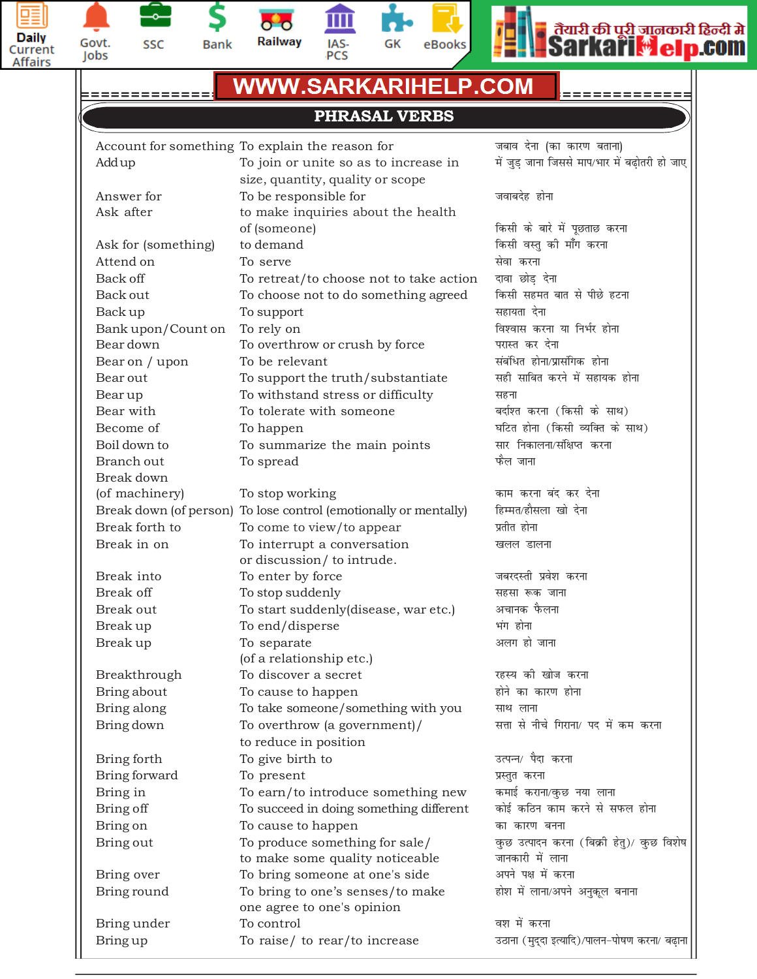





血  $\overline{\mathbf{C}}$ Railway IAS-<br>PCS





Ш

## **Centres at: MUKHERJEE NAGAR MUNIRKA UTTAM NAGAR DILSHAD GARDEN ROHINI BARDARPUR BORDER =============================================================**

# **PHRASAL VERBS**

|                     | Account for something To explain the reason for                   | जबाव देना (का कारण बताना)                                     |
|---------------------|-------------------------------------------------------------------|---------------------------------------------------------------|
| Add up              | To join or unite so as to increase in                             | में जुड़ जाना जिससे माप/भार में बढ़ोतरी हो जाए                |
|                     | size, quantity, quality or scope                                  |                                                               |
| Answer for          | To be responsible for                                             | जवाबदेह होना                                                  |
| Ask after           | to make inquiries about the health                                |                                                               |
|                     | of (someone)                                                      | किसी के बारे में पूछताछ करना                                  |
| Ask for (something) | to demand                                                         | किसी वस्तु की माँग करना                                       |
| Attend on           | To serve                                                          | सेवा करना                                                     |
| Back off            | To retreat/to choose not to take action                           | दावा छोड़ देना                                                |
| Back out            | To choose not to do something agreed                              | किसी सहमत बात से पीछे हटना                                    |
| Back up             | To support                                                        | सहायता देना                                                   |
| Bank upon/Count on  | To rely on                                                        | विश्वास करना या निर्भर होना                                   |
| Bear down           | To overthrow or crush by force                                    | परास्त कर देना                                                |
| Bear on / upon      | To be relevant                                                    | संबंधित होना/प्रासंगिक होना                                   |
| Bear out            | To support the truth/substantiate                                 | सही साबित करने में सहायक होना                                 |
| Bearup              | To withstand stress or difficulty                                 | सहना                                                          |
| Bear with           | To tolerate with someone                                          | बर्दाश्त करना (किसी के साथ)                                   |
| Become of           | To happen                                                         | घटित होना (किसी व्यक्ति के साथ)                               |
| Boil down to        | To summarize the main points                                      | सार निकालना/संक्षिप्त करना                                    |
| Branch out          | To spread                                                         | फैल जाना                                                      |
| Break down          |                                                                   |                                                               |
| (of machinery)      | To stop working                                                   | काम करना बंद कर देना                                          |
|                     | Break down (of person) To lose control (emotionally or mentally)  | हिम्मत/हौसला खो देना                                          |
| Break forth to      | To come to view/to appear                                         | प्रतीत होना                                                   |
| Break in on         | To interrupt a conversation                                       | खलल डालना                                                     |
|                     | or discussion/ to intrude.                                        |                                                               |
| Break into          | To enter by force                                                 | जबरदस्ती प्रवेश करना                                          |
| Break off           | To stop suddenly                                                  | सहसा रूक जाना                                                 |
| Break out           | To start suddenly(disease, war etc.)                              | अचानक फैलना                                                   |
| Break up            | To end/disperse                                                   | भंग होना                                                      |
| Break up            | To separate                                                       | अलग हो जाना                                                   |
|                     | (of a relationship etc.)                                          |                                                               |
| Breakthrough        | To discover a secret                                              | रहस्य की खोज करना                                             |
| Bring about         | To cause to happen                                                | होने का कारण होना                                             |
| Bring along         | To take someone/something with you                                | साथ लाना                                                      |
| Bring down          | To overthrow (a government)/                                      | सत्ता से नीचे गिराना/ पद में कम करना                          |
|                     | to reduce in position                                             |                                                               |
| Bring forth         | To give birth to                                                  | उत्पन्न/ पैदा करना                                            |
| Bring forward       | To present                                                        | प्रस्तुत करना                                                 |
| Bring in            | To earn/to introduce something new                                | कमाई कराना/कुछ नया लाना                                       |
| Bring off           | To succeed in doing something different                           | कोई कठिन काम करने से सफल होना                                 |
| Bring on            | To cause to happen                                                | का कारण बनना                                                  |
| Bring out           | To produce something for sale/<br>to make some quality noticeable | कुछ उत्पादन करना (बिक्री हेतु)/ कुछ विशेष<br>जानकारी में लाना |
| Bring over          | To bring someone at one's side                                    | अपने पक्ष में करना                                            |
| Bring round         | To bring to one's senses/to make                                  | होश में लाना/अपने अनुकूल बनाना                                |
|                     | one agree to one's opinion                                        |                                                               |
| Bring under         | To control                                                        | वश में करना                                                   |
| Bring up            | To raise/ to rear/to increase                                     | उठाना (मुद्दा इत्यादि)/पालन-पोषण करना/ बढ़ाना                 |
|                     |                                                                   |                                                               |
|                     |                                                                   |                                                               |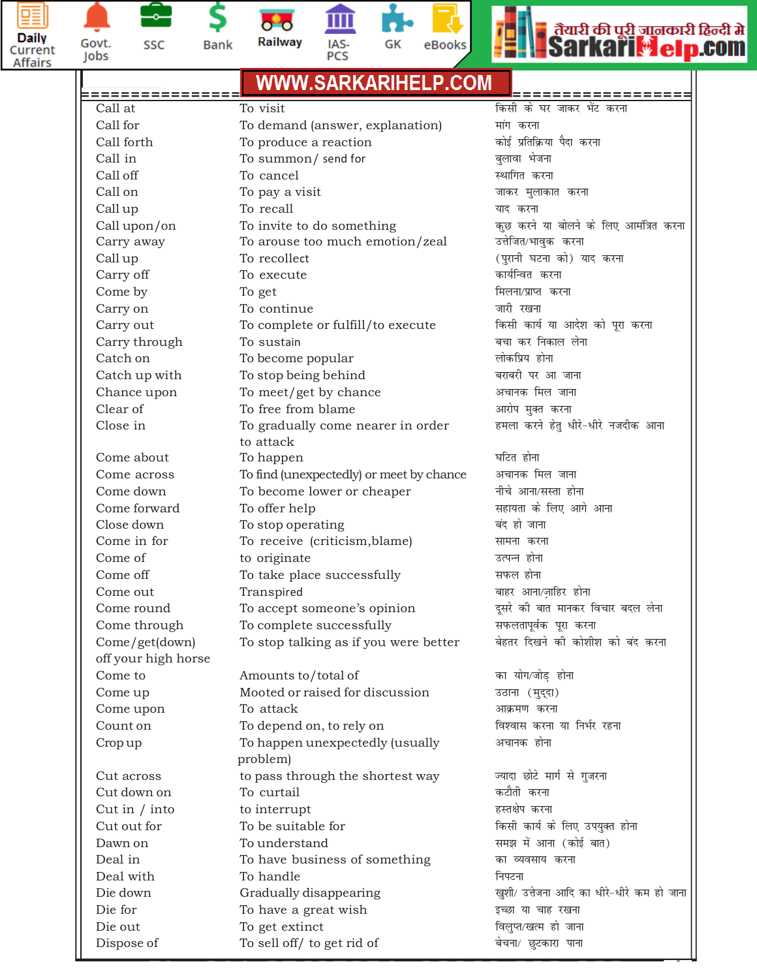



S **Bank** 

m  $\overline{\mathbf{o}}$   $\overline{\mathbf{o}}$ Railway IAS-<br>PCS





| Govt.<br>Jobs                                 | SSC                 | <b>Bank</b> | Railway                                                                | IAS-<br>PCS | GK | eBooks | <b>Sarkari<del>M</del>el</b>               |
|-----------------------------------------------|---------------------|-------------|------------------------------------------------------------------------|-------------|----|--------|--------------------------------------------|
| <b>WWW.SARKARIHELP.COM</b><br>:============== |                     |             |                                                                        |             |    |        | ;================                          |
| Call at                                       |                     |             | To visit                                                               |             |    |        | किसी के घर जाकर भेंट करना                  |
| Call for                                      |                     |             | To demand (answer, explanation)                                        |             |    |        | मांग करना                                  |
| Call forth                                    |                     |             | To produce a reaction                                                  |             |    |        | कोई प्रतिक्रिया पैदा करना                  |
| Call in                                       |                     |             | To summon/ send for                                                    |             |    |        | बुलावा भेजना                               |
| Call off                                      |                     |             | To cancel                                                              |             |    |        | स्थागित करना                               |
| Call on                                       |                     |             | To pay a visit                                                         |             |    |        | जाकर मुलाकात करना                          |
| Call up                                       |                     |             | To recall                                                              |             |    |        | याद करना                                   |
|                                               | Call upon/on        |             | To invite to do something                                              |             |    |        | कुछ करने या बोलने के लिए आमंत्रित करना     |
|                                               | Carry away          |             | To arouse too much emotion/zeal                                        |             |    |        | उत्तेजित/भावुक करना                        |
| Call up                                       |                     |             | To recollect                                                           |             |    |        | (पुरानी घटना को) याद करना                  |
| Carry off                                     |                     |             | To execute                                                             |             |    |        | कार्यन्वित करना                            |
| Come by                                       |                     |             | To get                                                                 |             |    |        | मिलना/प्राप्त करना                         |
| Carry on                                      |                     |             | To continue                                                            |             |    |        | जारी रखना                                  |
|                                               | Carry out           |             | To complete or fulfill/to execute                                      |             |    |        | किसी कार्य या आदेश को पूरा करना            |
|                                               | Carry through       |             | To sustain                                                             |             |    |        | बचा कर निकाल लेना                          |
| Catch on                                      |                     |             | To become popular                                                      |             |    |        | लोकप्रिय होना                              |
|                                               | Catch up with       |             | To stop being behind                                                   |             |    |        | बराबरी पर आ जाना                           |
|                                               | Chance upon         |             | To meet/get by chance                                                  |             |    |        | अचानक मिल जाना                             |
| Clear of                                      |                     |             | To free from blame                                                     |             |    |        | आरोप मुक्त करना                            |
| Close in                                      |                     |             | To gradually come nearer in order                                      |             |    |        | हमला करने हेतु धीरे-धीरे नजदीक आना         |
|                                               | Come about          |             | to attack                                                              |             |    |        | घटित होना                                  |
|                                               | Come across         |             | To happen                                                              |             |    |        | अचानक मिल जाना                             |
|                                               | Come down           |             | To find (unexpectedly) or meet by chance<br>To become lower or cheaper |             |    |        | नीचे आना/सस्ता होना                        |
|                                               | Come forward        |             | To offer help                                                          |             |    |        | सहायता के लिए आगे आना                      |
|                                               | Close down          |             | To stop operating                                                      |             |    |        | बंद हो जाना                                |
|                                               | Come in for         |             | To receive (criticism, blame)                                          |             |    |        | सामना करना                                 |
| Come of                                       |                     |             | to originate                                                           |             |    |        | उत्पन्न होना                               |
| Come off                                      |                     |             | To take place successfully                                             |             |    |        | सफल होना                                   |
| Come out                                      |                     |             | Transpired                                                             |             |    |        | बाहर आना/ज़ाहिर होना                       |
|                                               | Come round          |             | To accept someone's opinion                                            |             |    |        | दूसरे की बात मानकर विचार बदल लेना          |
|                                               | Come through        |             | To complete successfully                                               |             |    |        | सफलतापूर्वक पूरा करना                      |
|                                               | Come/get(down)      |             | To stop talking as if you were better                                  |             |    |        | बेहतर दिखने की कोशीश को बंद करना           |
|                                               | off your high horse |             |                                                                        |             |    |        |                                            |
| Come to                                       |                     |             | Amounts to/total of                                                    |             |    |        | का योग/जोड़ होना                           |
| Come up                                       |                     |             | Mooted or raised for discussion                                        |             |    |        | उठाना (मुद्दा)                             |
|                                               | Come upon           |             | To attack                                                              |             |    |        | आक्रमण करना                                |
| Count on                                      |                     |             | To depend on, to rely on                                               |             |    |        | विश्वास करना या निर्भर रहना                |
| Crop up                                       |                     |             | To happen unexpectedly (usually<br>problem)                            |             |    |        | अचानक होना                                 |
|                                               | Cut across          |             | to pass through the shortest way                                       |             |    |        | ज्यादा छोटे मार्ग से गुजरना                |
|                                               | Cut down on         |             | To curtail                                                             |             |    |        | कटौती करना                                 |
|                                               | Cut in $/$ into     |             | to interrupt                                                           |             |    |        | हस्तक्षेप करना                             |
|                                               | Cut out for         |             | To be suitable for                                                     |             |    |        | किसी कार्य के लिए उपयुक्त होना             |
| Dawn on                                       |                     |             | To understand                                                          |             |    |        | समझ में आना (कोई बात)                      |
| Deal in                                       |                     |             | To have business of something                                          |             |    |        | का व्यवसाय करना                            |
|                                               | Deal with           |             | To handle                                                              |             |    |        | निपटना                                     |
| Die down                                      |                     |             | Gradually disappearing                                                 |             |    |        | खुशी/ उत्तेजना आदि का धीरे-धीरे कम हो जाना |
| Die for                                       |                     |             | To have a great wish                                                   |             |    |        | इच्छा या चाह रखना                          |
| Die out                                       |                     |             | To get extinct                                                         |             |    |        | विलुप्त/खत्म हो जाना                       |
|                                               | Dispose of          |             | To sell off/ to get rid of                                             |             |    |        | बेचना/ छुटकारा पाना                        |
|                                               |                     |             |                                                                        |             |    |        |                                            |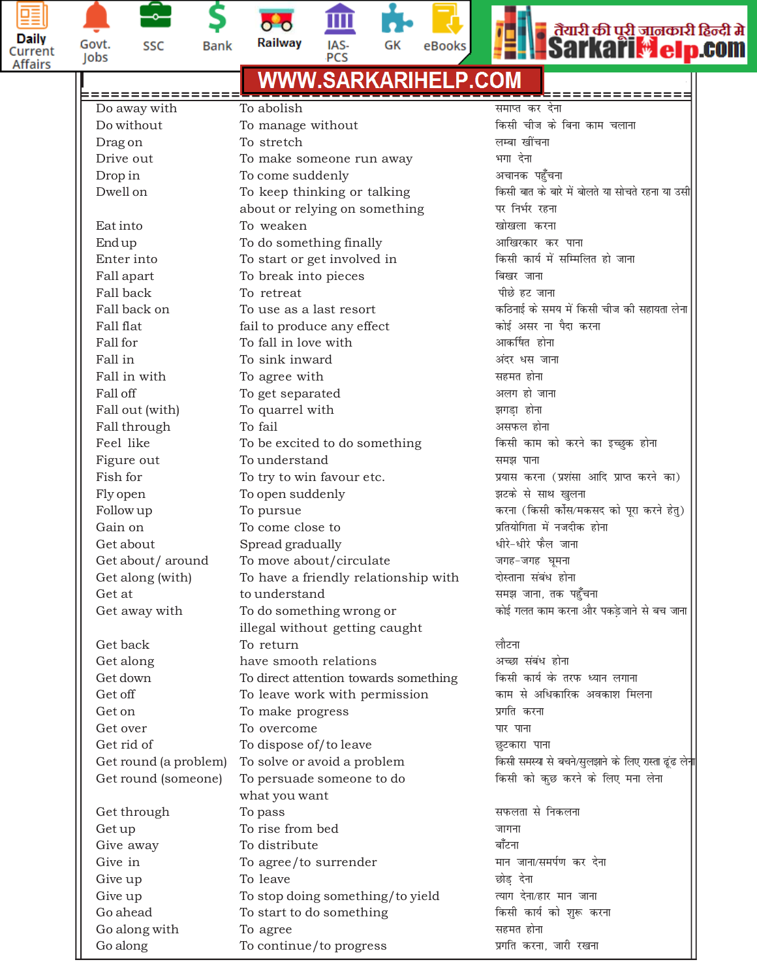



Jobs

**Bank** 

Railway IAS-PCS





### $WWW.SARKAR IHELP.$ *COM* **=============================================================** Do away with *To abolish* and the state of the state  $\frac{1}{2}$ Do without To manage without *fdlh pht ds fcuk dke pykuk* Drag on *To stretch To stretch* and *Prag* on *Reference Reference Co* Drive out To make someone run away *Hkxk nsuk*  $\mathbf{Drop\ in}\qquad\qquad\mathbf{To\ come\ suddenly}\qquad\qquad\qquad\qquad$  अचानक पहुँचना Dwell on *F*o keep thinking or talking *formation and the direct disk in the ckep thinking or talking in the farm in the disk provider* in the farm of  $D$ about or relying on something **in the State of Tana and Tana and Tana and Tana and Tana and Tana and Tana and T** Eat into To weaken *[kks[kyk djuk* End up To do something finally *vkf[kjdkj dj ikuk* Enter into To start or get involved in **Fig. 10 and 10 for start** fare in fare fare fare fare same fare same fare Fall apart To break into pieces *apart* **fault** apart Fall back **To retreat** and *i*nder the set of the set of the set of the set of the set of the set of the set of the set of the set of the set of the set of the set of the set of the set of the set of the set of the set of Fall back on To use as a last resort *dfBukbZ ds le; e s a fdlh pht dh lgk;rk ysuk* Fall flat fail to produce any effect *dksb Z vlj uk iSnk djuk* Fall for To fall in love with *vkdf" Zkr gksuk* Fall in To sink inward *vanj /l tkuk* Fall in with **agree with likely contained to the contract of the contract of the contract of the contract of the contract of the contract of the contract of the contract of the contract of the contract of the contract o** Fall off To get separated and *a* अलग हो जाना Fall out (with) <sup>To</sup> quarrel with *industrial strategy* होना Fall through To fail *vliQy gksuk* Feel like To be excited to do something **for a faller defined and grade defining** for the distribution of the state grade given by the state defining a state distribution of the state of the state of the state of the stat Figure out To understand *le> ikuk* Fish for To try to win favour etc. *iz;kl djuk (iz'kalk vkfn izkIr djus dk)* Fly open **I** approximate To open suddenly the set of the set of the last and the *IRy* open suddenly Follow up To pursue *djuk (fdlh dksZl@edln dk s iwjk djus g srq)* Gain on To come close to *izfr;ksfxrk e sa utnhd gksuk* Get about *Spread gradually //ilibrary strategies* and *spread gradually research* and *strategies*  $\frac{1}{2}$ Get about / around *To move about / circulate बाह* - जगह-जगह घूमना Get along (with) To have a friendly relationship with वोस्ताना संबंध होना Get at to understand *le> tkuk] rd ig q ¡puk* Get away with  $\hphantom{a}$  To do something wrong or  $\hphantom{a}$  कोई गलत काम करना और पकड़े जाने से बच जाना illegal without getting caught Get back To return *and the set of the set of the set of the set of the set of the set of the set of the set of th* Get along *have smooth relations अच्छा संबंध होना* Get down To direct attention towards something किसी कार्य के तरफ ध्यान लगाना Get off **The Convention Convert with permission** *a* अर्थिकारिक अवकाश मिलना Get on To make progress *izxfr djuk* Get over To overcome *ikj ikuk* Get rid of To dispose of/to leave and a sea and the *sea and well* and the *Regention* Get round (a problem) To solve or avoid a problem किसी समस्या से बचने/सुलझाने के लिए रास्ता ढूंढ लेन<mark>ा</mark> Get round (someone) To persuade someone to do **farms de formation of the other definition** what you want Get through **Company To pass** and the company of the set of the set of the set of the set of the set of the set o Get up **the Tourier To rise from bed the set of the set of the set of the set of the set of the set of the set of the set of the set of the set of the set of the set of the set of the set of the set of the set of the se** Give away **Constant Constant To distribute** *c* and *c* and *c* and *c* and *c* and *c* and *c* and *c* and *c* and *c* and *c* and *c* and *c* and *c* and *c* and *c* and *c* and *c* and *c* and *c* and *c* and *c* and Give in To agree/to surrender *eku tkuk@lei Z.k dj nsuk* Give up To leave *NksM+ nsuk* Give up To stop doing something/to yield *R;kx nsuk@gkj eku tkuk* Go ahead To start to do something *fdlh dk;Z dk s 'kq: djuk* Go along with To agree **and South America** and To agree and To agree and To agree and To To agree and To To To To Go along To continue/to progress *izxfr djuk] tkjh j[kuk*

**Ph:** 0.11-2760, 0.12 **3 31.0**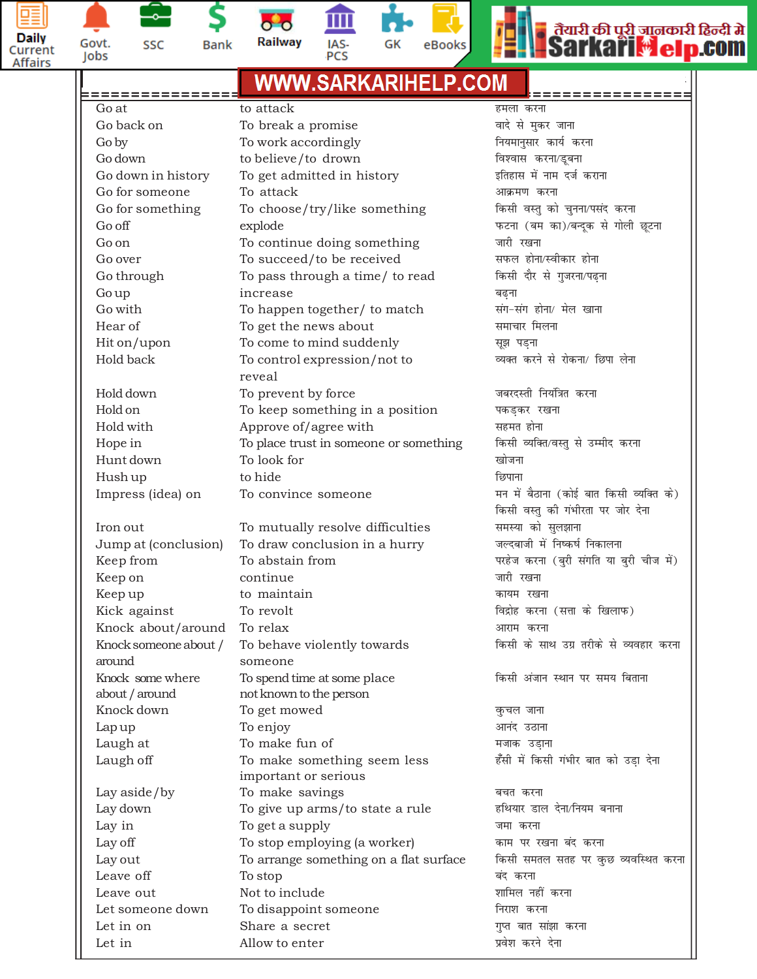



**Bank** 

**SSC** 

Railway IAS-PCS





### $WWW.SARKAR IHELP.$ *COM* **=============================================================** Go at to attack *geyk djuk* Go back on **the contract of the To** break a promise the set of the set of से मुकर जाना Go by **To work accordingly** and the function of the function of the function of  $\alpha$  denotes the  $\alpha$  denotes the  $\alpha$  $\sim$  Go down **to believe/to drown** and the four favors and favors and four four four four to believe/to drown Go down in history **be To get admitted in history the set of same state** कर इतिहास में नाम दर्ज कराना Go for someone *To attack* and *Co for someone* and *To attack* and *Attack* and *Attack* and *Attack* and *Attack* and *Attack* and *Attack* and *Attack* and *Attack* and *Attack* and *Attack* and *Attack* and *Attack* a Go for something To choose/try/like something **fall of the final dentity of the proof** of part of the part of the part of the part of the part of the part of the part of the part of the part of the part of the part of the Go off explode *iQVuk (ce dk)@cUn wd ls xksyh N wVuk* Go on **the To continue doing something** जारी रखना Go over **a continuity** To succeed/to be received **and the set of the set of the To** gas and the To succeed/to be received Go through To pass through a time/ to read *fdlh nkSj ls xqtjuk@i<+uk* Go up **contracts** increase *contracts* and *increase* and *increase* and *increase* Go with To happen together/ to match *lax&lax gksuk@ e sy [kkuk* Hear of To get the news about *lekpkj feyuk* Hit on/upon To come to mind suddenly *बा*ल सूझ पड़ना Hold back To control expression/not to <sup>व्यक्त</sup> करने से रोकना/ छिपा लेना reveal Hold down To prevent by force *tcjnLrh fu; af=kr djuk* Hold on **To keep something in a position** बकड़कर रखना Hold with *Approve of/agree with and agger agger agger agger agger agger agger agger agger agger agger agger agger agger agger agger agger agger agger agger agger agger ag* Hope in To place trust in someone or something किसी व्यक्ति/वस्तु से उम्मीद करना Hunt down To look for *[kkstuk* Hush up **a contract to hide** to hide the *f*our *f*our *f* क्याना Impress (idea) on To convince someone **end and the same of the same of the same of the C** convince someone and or *किसी वस्तु की गंभीरता पर जोर देना* Iron out **Example 2** To mutually resolve difficulties and समस्या को सुलझाना Jump at (conclusion) To draw conclusion in a hurry www. जल्दबाजी में निष्कर्ष निकालना Keep from *iff of the stain from* in the set of the set of the set of the set of the same of the same from the same from  $\frac{1}{\sqrt{R}}$  and  $\frac{1}{\sqrt{R}}$  and  $\frac{1}{\sqrt{R}}$  and  $\frac{1}{\sqrt{R}}$  and  $\frac{1}{\sqrt{R}}$  and  $\frac{1}{\sqrt{R}}$  an Keep on the continue and the senate of the senate of the senate of the senate of the senate of the senate of th Keep up to maintain and the maintain which we have the world with the world with the world with the world with t<br>जिल्ला का प्रथम स्थान का प्राप्त का प्राप्त का प्राप्त का प्राप्त का प्राप्त का प्राप्त का प्राप्त का प्राप् Kick against *forevolt* and *forevolt* and *foreign* and *foreign* for *form* (सत्ता के खिलाफ) Knock about/around To relax *vkjke djuk* Knock someone about / To behave violently towards **Falk manner in the four manner of the default** manner of  $\overline{R}$ around someone Knock some where To spend time at some place **for a fall of the some where if and variable in the V**ateu in the M about / around not known to the person Knock down **a** a To get mowed **of the contract of the contract of the contract of**  $q$  **कुचल जाना** Lap up To enjoy *vkuan mBkuk* Laugh at To make fun of *etkd mM+kuk* Laugh off To make something seem less हँसी में किसी गंभीर बात को उड़ा देना important or serious Lay aside/by To make savings and the community of the community of the community of the community of the communi Lay down To give up arms/to state a rule <sup>हथियार</sup> डाल देना/नियम बनाना Lay in To get a supply *tek djuk* Lay off **To stop employing (a worker)** काम पर रखना बंद करना Lay out To arrange something on a flat surface किसी समतल सतह पर कुछ व्यवस्थित करना Leave off To stop *can djuk* Leave out Not to include *'kkfey ugha djuk* Let someone down To disappoint someone **the solution of the GMS** निराश करना Let in on Share a secret *xqIr ckr lka>k djuk* Let in Allow to enter *izo s'k djus nsuk*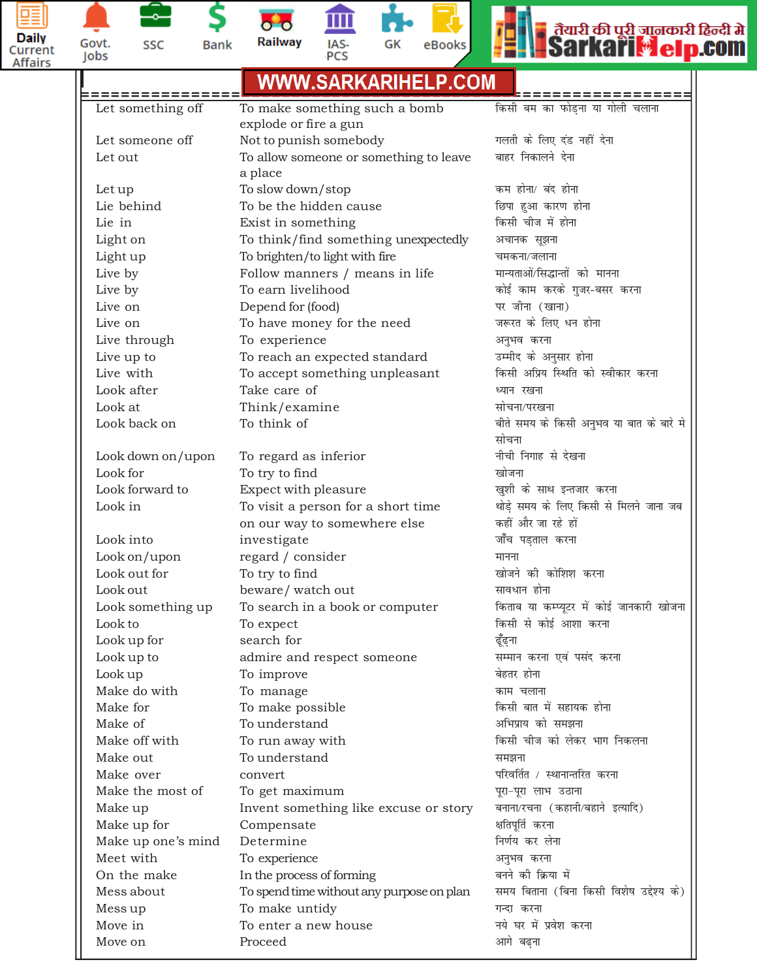



n

Þ

\$ **Bank** 

血 Railway IAS-<br>PCS

 $\overline{\mathbf{C}}$ 





|                              | <u>WWW.SARKARIHELP.COM</u>                             |                                                              |
|------------------------------|--------------------------------------------------------|--------------------------------------------------------------|
|                              |                                                        |                                                              |
| Let something off            | To make something such a bomb<br>explode or fire a gun | किसी बम का फोड़ना या गोली चलाना                              |
| Let someone off              | Not to punish somebody                                 | गलती के लिए दंड नहीं देना                                    |
| Let out                      | To allow someone or something to leave                 | बाहर निकालने देना                                            |
|                              | a place                                                |                                                              |
| Let up                       | To slow down/stop                                      | कम होना/ बंद होना                                            |
| Lie behind                   | To be the hidden cause                                 | छिपा हुआ कारण होना                                           |
| Lie in                       | Exist in something                                     | किसी चीज में होना                                            |
| Light on                     | To think/find something unexpectedly                   | अचानक सूझना                                                  |
| Light up                     | To brighten/to light with fire                         | चमकना/जलाना                                                  |
| Live by                      | Follow manners / means in life                         | मान्यताओं/सिद्धान्तों को मानना                               |
| Live by                      | To earn livelihood                                     | कोई काम करके गुजर-बसर करना                                   |
| Live on                      | Depend for (food)                                      | पर जीना (खाना)                                               |
| Live on                      | To have money for the need                             | जरूरत के लिए धन होना                                         |
| Live through                 | To experience                                          | अनुभव करना                                                   |
| Live up to                   | To reach an expected standard                          | उम्मीद के अनुसार होना                                        |
| Live with                    | To accept something unpleasant                         | किसी अप्रिय स्थिति को स्वीकार करना                           |
| Look after                   | Take care of                                           | ध्यान रखना                                                   |
| Look at                      | Think/examine                                          | सोचना/परखना                                                  |
| Look back on                 | To think of                                            | बीते समय के किसी अनुभव या बात के बारे मे                     |
|                              |                                                        | सोचना<br>नीची निगाह से देखना                                 |
| Look down on/upon            | To regard as inferior                                  |                                                              |
| Look for                     | To try to find                                         | खोजना                                                        |
| Look forward to              | Expect with pleasure                                   | खुशी के साथ इन्तजार करना                                     |
| Look in                      | To visit a person for a short time                     | थोड़े समय के लिए किसी से मिलने जाना जब<br>कहीं और जा रहे हों |
|                              | on our way to somewhere else                           |                                                              |
| Look into                    | investigate                                            | जाँच पड़ताल करना                                             |
| Look on/upon                 | regard / consider                                      | मानना<br>खोजने की कोशिश करना                                 |
| Look out for                 | To try to find                                         |                                                              |
| Look out                     | beware/watch out                                       | सावधान होना<br>किताब या कम्प्यूटर में कोई जानकारी खोजना      |
| Look something up<br>Look to | To search in a book or computer                        | किसी से कोई आशा करना                                         |
| Look up for                  | To expect<br>search for                                | ढूँढ्ना                                                      |
| Look up to                   | admire and respect someone                             | सम्मान करना एवं पसंद करना                                    |
| Look up                      | To improve                                             | बेहतर होना                                                   |
| Make do with                 | To manage                                              | काम चलाना                                                    |
| Make for                     | To make possible                                       | किसी बात में सहायक होना                                      |
| Make of                      | To understand                                          | अभिप्राय को समझना                                            |
| Make off with                | To run away with                                       | किसी चीज को लेकर भाग निकलना                                  |
| Make out                     | To understand                                          | समझना                                                        |
| Make over                    | convert                                                | परिवर्तित / स्थानान्तरित करना                                |
| Make the most of             | To get maximum                                         | पूरा-पूरा लाभ उठाना                                          |
| Make up                      | Invent something like excuse or story                  | बनाना/रचना (कहानी/बहाने इत्यादि)                             |
| Make up for                  | Compensate                                             | क्षतिपूर्ति करना                                             |
| Make up one's mind           | Determine                                              | निर्णय कर लेना                                               |
| Meet with                    | To experience                                          | अनुभव करना                                                   |
| On the make                  | In the process of forming                              | बनने की क्रिया में                                           |
| Mess about                   | To spend time without any purpose on plan              | समय बिताना (बिना किसी विशेष उद्देश्य के)                     |
| Mess up                      | To make untidy                                         | गन्दा करना                                                   |
| Move in                      | To enter a new house                                   | नये घर में प्रवेश करना                                       |
| Move on                      | Proceed                                                | आगे बढ़ना                                                    |
|                              |                                                        |                                                              |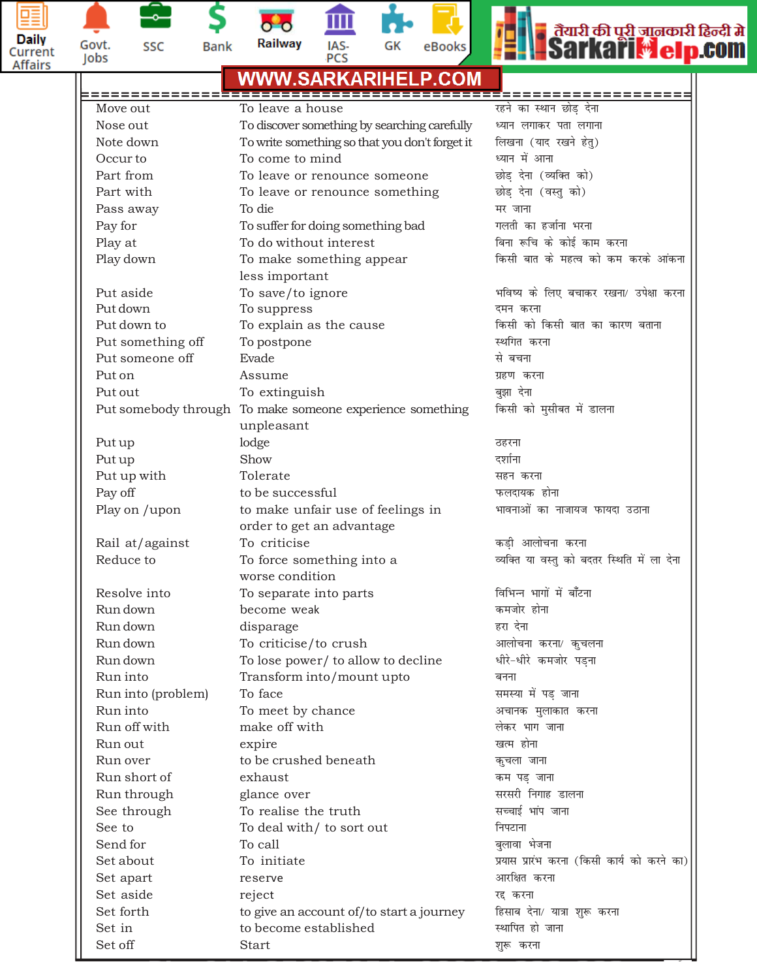



단 SSC \$

**Bank** 

 $\overline{\mathbf{o}}$   $\overline{\mathbf{o}}$ Railway 血

IAS-<br>PCS





|          | <b>WW.SARKARIHELP.COM</b> |                                                                         |                                             |  |  |
|----------|---------------------------|-------------------------------------------------------------------------|---------------------------------------------|--|--|
|          |                           |                                                                         | =============                               |  |  |
| Move out |                           | To leave a house                                                        | रहने का स्थान छोड देना                      |  |  |
|          | Nose out                  | To discover something by searching carefully                            | ध्यान लगाकर पता लगाना                       |  |  |
|          | Note down                 | To write something so that you don't forget it                          | लिखना (याद रखने हेतु)                       |  |  |
|          | Occur to                  | To come to mind                                                         | ध्यान में आना                               |  |  |
|          | Part from                 | To leave or renounce someone                                            | छोड़ देना (व्यक्ति को)                      |  |  |
|          | Part with                 | To leave or renounce something                                          | छोड़ देना (वस्तु को)                        |  |  |
|          | Pass away                 | To die                                                                  | मर जाना                                     |  |  |
|          | Pay for                   | To suffer for doing something bad                                       | गलती का हर्जाना भरना                        |  |  |
|          | Play at                   | To do without interest                                                  | बिना रूचि के कोई काम करना                   |  |  |
|          | Play down                 | To make something appear                                                | किसी बात के महत्व को कम करके आंकना          |  |  |
|          |                           | less important                                                          |                                             |  |  |
|          | Put aside                 | To save/to ignore                                                       | भविष्य के लिए बचाकर रखना/ उपेक्षा करना      |  |  |
|          | Put down                  | To suppress                                                             | दमन करना                                    |  |  |
|          | Put down to               | To explain as the cause                                                 | किसी को किसी बात का कारण बताना              |  |  |
|          | Put something off         | To postpone                                                             | स्थगित करना                                 |  |  |
|          | Put someone off           | Evade                                                                   | से बचना                                     |  |  |
|          | Put on                    | Assume                                                                  | ग्रहण करना                                  |  |  |
|          | Put out                   | To extinguish                                                           | बुझा देना                                   |  |  |
|          |                           | Put somebody through To make someone experience something<br>unpleasant | किसी को मुसीबत में डालना                    |  |  |
|          | Put up                    | lodge                                                                   | ठहरना                                       |  |  |
|          | Put up                    | Show                                                                    | दर्शाना                                     |  |  |
|          | Put up with               | Tolerate                                                                | सहन करना                                    |  |  |
|          | Pay off                   | to be successful                                                        | फलदायक होना                                 |  |  |
|          | Play on /upon             | to make unfair use of feelings in                                       | भावनाओं का नाजायज फायदा उठाना               |  |  |
|          |                           | order to get an advantage                                               |                                             |  |  |
|          | Rail at/against           | To criticise                                                            | कड़ी आलोचना करना                            |  |  |
|          | Reduce to                 | To force something into a<br>worse condition                            | व्यक्ति या वस्तु को बदतर स्थिति में ला देना |  |  |
|          | Resolve into              | To separate into parts                                                  | विभिन्न भागों में बाँटना                    |  |  |
|          | Run down                  | become weak                                                             | कमजोर होना                                  |  |  |
|          | Run down                  | disparage                                                               | हरा देना                                    |  |  |
|          | Run down                  | To criticise/to crush                                                   | आलोचना करना/ कुचलना                         |  |  |
|          | Run down                  | To lose power/ to allow to decline                                      | धीरे-धीरे कमजोर पड़ना                       |  |  |
|          | Run into                  | Transform into/mount upto                                               | बनना                                        |  |  |
|          | Run into (problem)        | To face                                                                 | समस्या में पड़ जाना                         |  |  |
|          | Run into                  | To meet by chance                                                       | अचानक मुलाकात करना                          |  |  |
|          | Run off with              | make off with                                                           | लेकर भाग जाना                               |  |  |
|          | Run out                   | expire                                                                  | खत्म होना                                   |  |  |
|          | Run over                  | to be crushed beneath                                                   | कुचला जाना                                  |  |  |
|          | Run short of              | exhaust                                                                 | कम पड़ जाना                                 |  |  |
|          | Run through               | glance over                                                             | सरसरी निगाह डालना                           |  |  |
|          | See through               | To realise the truth                                                    | सच्चाई भांप जाना                            |  |  |
|          | See to                    | To deal with/ to sort out                                               | निपटाना                                     |  |  |
|          | Send for                  | To call                                                                 | बुलावा भेजना                                |  |  |
|          | Set about                 | To initiate                                                             | प्रयास प्रारंभ करना (किसी कार्य को करने का) |  |  |
|          | Set apart                 | reserve                                                                 | आरक्षित करना                                |  |  |
|          | Set aside                 | reject                                                                  | रद्द करना                                   |  |  |
|          | Set forth                 |                                                                         | हिसाब देना/ यात्रा शुरू करना                |  |  |
|          | Set in                    | to give an account of/to start a journey<br>to become established       | स्थापित हो जाना                             |  |  |
|          | Set off                   | Start                                                                   | शुरू करना                                   |  |  |
|          |                           |                                                                         |                                             |  |  |